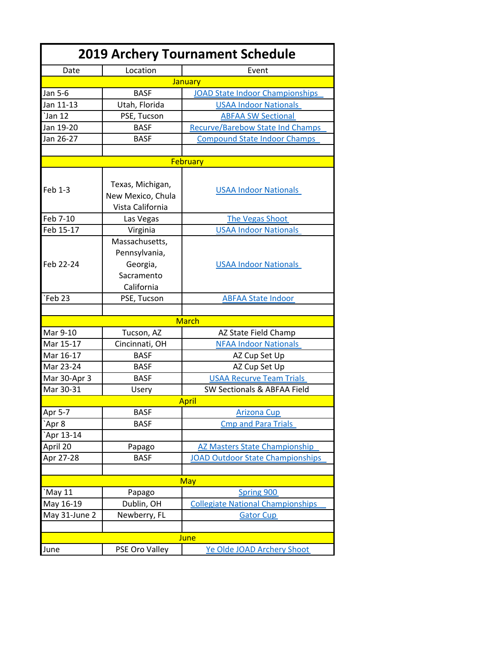| <b>2019 Archery Tournament Schedule</b> |                                                                         |                                          |
|-----------------------------------------|-------------------------------------------------------------------------|------------------------------------------|
| Date                                    | Location                                                                | Event                                    |
|                                         |                                                                         | January                                  |
| Jan 5-6                                 | <b>BASF</b>                                                             | <b>JOAD State Indoor Championships</b>   |
| Jan 11-13                               | Utah, Florida                                                           | <b>USAA Indoor Nationals</b>             |
| <b>Jan 12</b>                           | PSE, Tucson                                                             | <b>ABFAA SW Sectional</b>                |
| Jan 19-20                               | <b>BASF</b>                                                             | <b>Recurve/Barebow State Ind Champs</b>  |
| Jan 26-27                               | <b>BASF</b>                                                             | <b>Compound State Indoor Champs</b>      |
|                                         |                                                                         |                                          |
|                                         |                                                                         | February                                 |
| Feb 1-3                                 | Texas, Michigan,<br>New Mexico, Chula<br>Vista California               | <b>USAA Indoor Nationals</b>             |
| Feb 7-10                                | Las Vegas                                                               | <b>The Vegas Shoot</b>                   |
| Feb 15-17                               | Virginia                                                                | <b>USAA Indoor Nationals</b>             |
| Feb 22-24                               | Massachusetts,<br>Pennsylvania,<br>Georgia,<br>Sacramento<br>California | <b>USAA Indoor Nationals</b>             |
| Feb <sub>23</sub>                       | PSE, Tucson                                                             | <b>ABFAA State Indoor</b>                |
|                                         |                                                                         |                                          |
|                                         |                                                                         | <b>March</b>                             |
| Mar 9-10                                | Tucson, AZ                                                              | AZ State Field Champ                     |
| Mar 15-17                               | Cincinnati, OH                                                          | <b>NFAA Indoor Nationals</b>             |
| Mar 16-17                               | <b>BASF</b>                                                             | AZ Cup Set Up                            |
| Mar 23-24                               | <b>BASF</b>                                                             | AZ Cup Set Up                            |
| Mar 30-Apr 3                            | <b>BASF</b>                                                             | <b>USAA Recurve Team Trials</b>          |
| Mar 30-31                               | Usery                                                                   | SW Sectionals & ABFAA Field              |
|                                         |                                                                         | <b>April</b>                             |
| Apr 5-7                                 | <b>BASF</b>                                                             | <b>Arizona Cup</b>                       |
| Apr 8                                   | <b>BASF</b>                                                             | <b>Cmp and Para Trials</b>               |
| Apr 13-14                               |                                                                         |                                          |
| April 20                                | Papago                                                                  | <b>AZ Masters State Championship</b>     |
| Apr 27-28                               | <b>BASF</b>                                                             | <b>JOAD Outdoor State Championships</b>  |
|                                         |                                                                         |                                          |
|                                         |                                                                         | <b>May</b>                               |
| May 11                                  | Papago                                                                  | Spring 900                               |
| May 16-19                               | Dublin, OH                                                              | <b>Collegiate National Championships</b> |
| May 31-June 2                           | Newberry, FL                                                            | <b>Gator Cup</b>                         |
|                                         |                                                                         |                                          |
|                                         |                                                                         | June                                     |
| June                                    | PSE Oro Valley                                                          | Ye Olde JOAD Archery Shoot               |